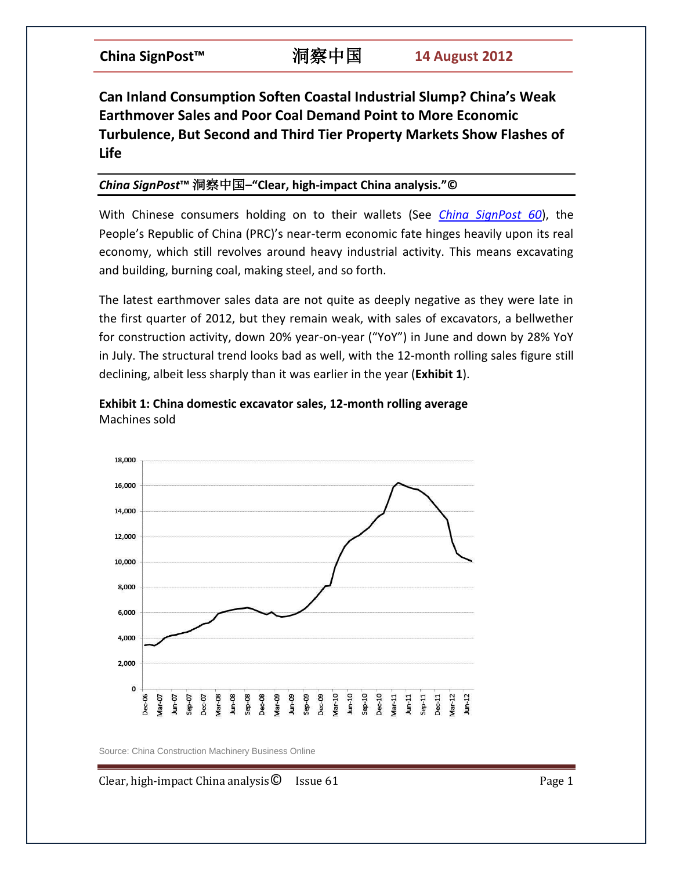## **Can Inland Consumption Soften Coastal Industrial Slump? China's Weak Earthmover Sales and Poor Coal Demand Point to More Economic Turbulence, But Second and Third Tier Property Markets Show Flashes of Life**

## *China SignPost***™** 洞察中国**–"Clear, high-impact China analysis."©**

With Chinese consumers holding on to their wallets (See *[China SignPost 60](http://www.chinasignpost.com/2012/08/downturn-to-new-normal-chinas-consumer-economy-is-rolling-over-and-sales-of-chicken-cars-and-shoes-are-taking-a-hit/)*), the People's Republic of China (PRC)'s near-term economic fate hinges heavily upon its real economy, which still revolves around heavy industrial activity. This means excavating and building, burning coal, making steel, and so forth.

The latest earthmover sales data are not quite as deeply negative as they were late in the first quarter of 2012, but they remain weak, with sales of excavators, a bellwether for construction activity, down 20% year-on-year ("YoY") in June and down by 28% YoY in July. The structural trend looks bad as well, with the 12-month rolling sales figure still declining, albeit less sharply than it was earlier in the year (**Exhibit 1**).





Source: China Construction Machinery Business Online

Clear, high-impact China analysis  $\bullet$  Issue 61 Page 1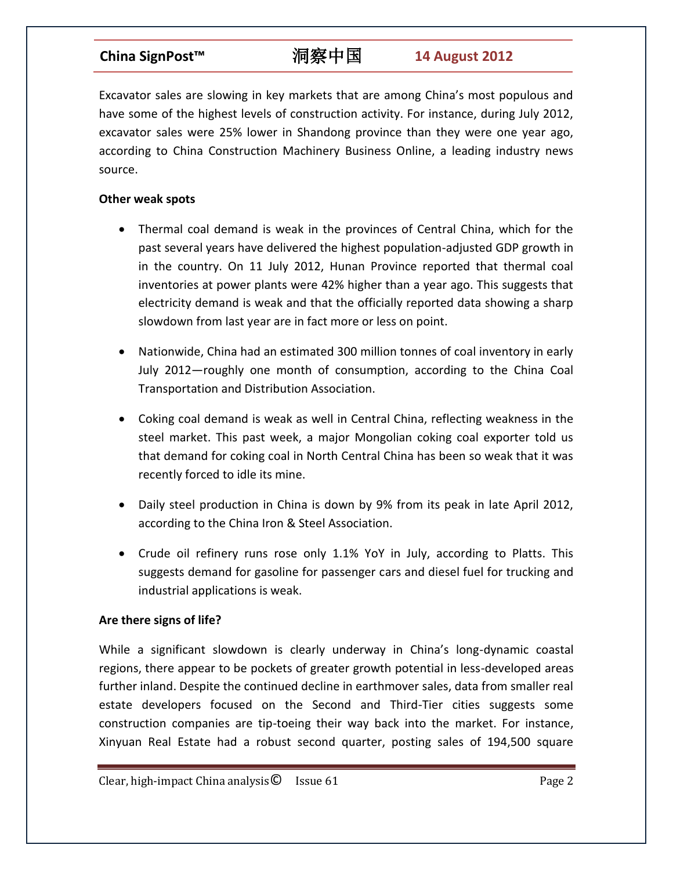## **China SignPost™** 洞察中国 **14 August 2012**

Excavator sales are slowing in key markets that are among China's most populous and have some of the highest levels of construction activity. For instance, during July 2012, excavator sales were 25% lower in Shandong province than they were one year ago, according to China Construction Machinery Business Online, a leading industry news source.

### **Other weak spots**

- Thermal coal demand is weak in the provinces of Central China, which for the past several years have delivered the highest population-adjusted GDP growth in in the country. On 11 July 2012, Hunan Province reported that thermal coal inventories at power plants were 42% higher than a year ago. This suggests that electricity demand is weak and that the officially reported data showing a sharp slowdown from last year are in fact more or less on point.
- Nationwide, China had an estimated 300 million tonnes of coal inventory in early July 2012—roughly one month of consumption, according to the China Coal Transportation and Distribution Association.
- Coking coal demand is weak as well in Central China, reflecting weakness in the steel market. This past week, a major Mongolian coking coal exporter told us that demand for coking coal in North Central China has been so weak that it was recently forced to idle its mine.
- Daily steel production in China is down by 9% from its peak in late April 2012, according to the China Iron & Steel Association.
- Crude oil refinery runs rose only 1.1% YoY in July, according to Platts. This suggests demand for gasoline for passenger cars and diesel fuel for trucking and industrial applications is weak.

### **Are there signs of life?**

While a significant slowdown is clearly underway in China's long-dynamic coastal regions, there appear to be pockets of greater growth potential in less-developed areas further inland. Despite the continued decline in earthmover sales, data from smaller real estate developers focused on the Second and Third-Tier cities suggests some construction companies are tip-toeing their way back into the market. For instance, Xinyuan Real Estate had a robust second quarter, posting sales of 194,500 square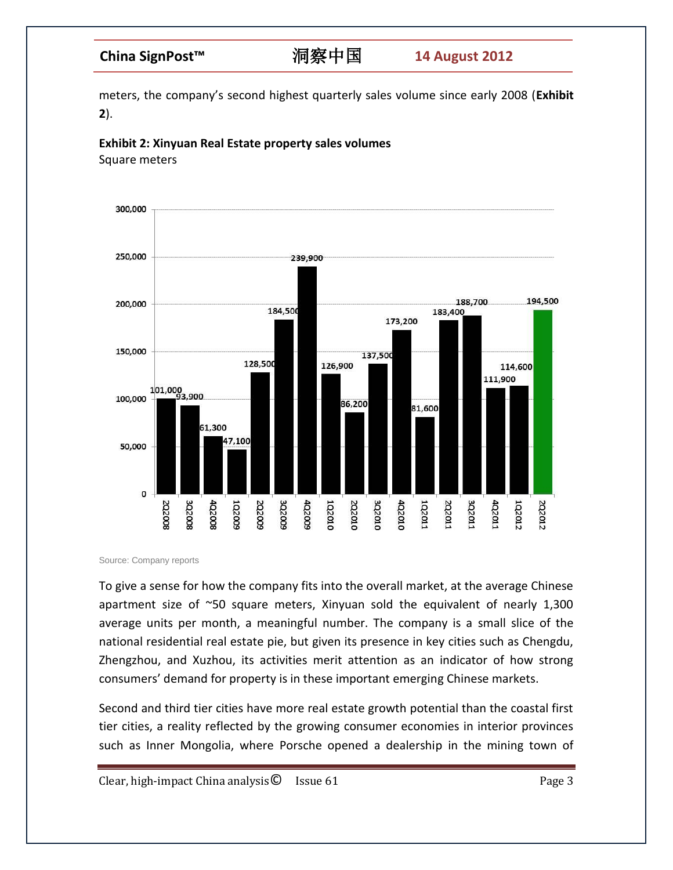meters, the company's second highest quarterly sales volume since early 2008 (**Exhibit 2**).



Square meters



Source: Company reports

To give a sense for how the company fits into the overall market, at the average Chinese apartment size of  $\approx$ 50 square meters, Xinyuan sold the equivalent of nearly 1,300 average units per month, a meaningful number. The company is a small slice of the national residential real estate pie, but given its presence in key cities such as Chengdu, Zhengzhou, and Xuzhou, its activities merit attention as an indicator of how strong consumers' demand for property is in these important emerging Chinese markets.

Second and third tier cities have more real estate growth potential than the coastal first tier cities, a reality reflected by the growing consumer economies in interior provinces such as Inner Mongolia, where Porsche opened a dealership in the mining town of

Clear, high-impact China analysis $\bullet$  Issue 61 Page 3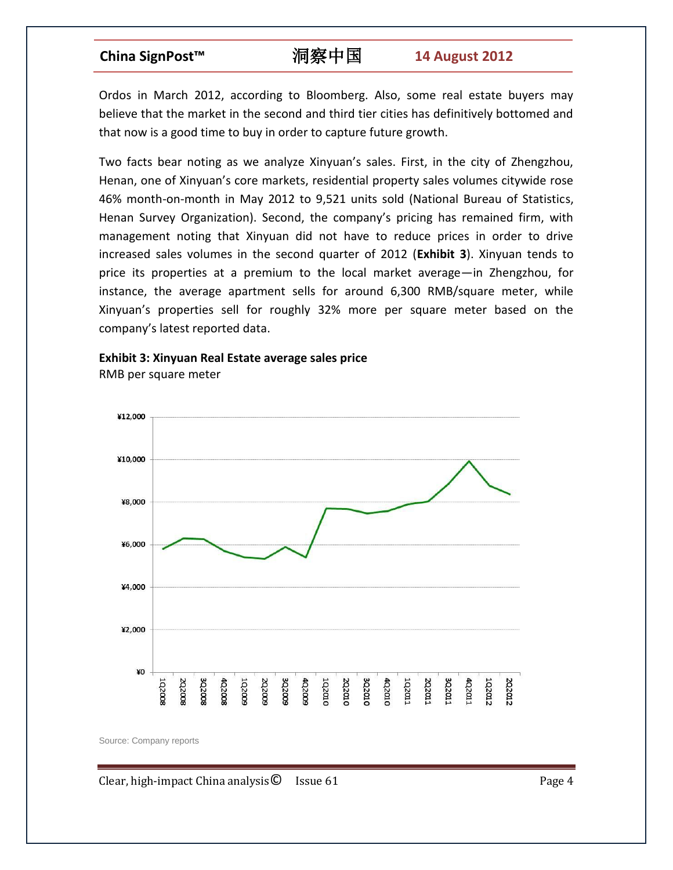## **China SignPost™** 洞察中国 **14 August 2012**

Ordos in March 2012, according to Bloomberg. Also, some real estate buyers may believe that the market in the second and third tier cities has definitively bottomed and that now is a good time to buy in order to capture future growth.

Two facts bear noting as we analyze Xinyuan's sales. First, in the city of Zhengzhou, Henan, one of Xinyuan's core markets, residential property sales volumes citywide rose 46% month-on-month in May 2012 to 9,521 units sold (National Bureau of Statistics, Henan Survey Organization). Second, the company's pricing has remained firm, with management noting that Xinyuan did not have to reduce prices in order to drive increased sales volumes in the second quarter of 2012 (**Exhibit 3**). Xinyuan tends to price its properties at a premium to the local market average—in Zhengzhou, for instance, the average apartment sells for around 6,300 RMB/square meter, while Xinyuan's properties sell for roughly 32% more per square meter based on the company's latest reported data.

## **Exhibit 3: Xinyuan Real Estate average sales price**

RMB per square meter



Source: Company reports

Clear, high-impact China analysis  $\bullet$  Issue 61 Page 4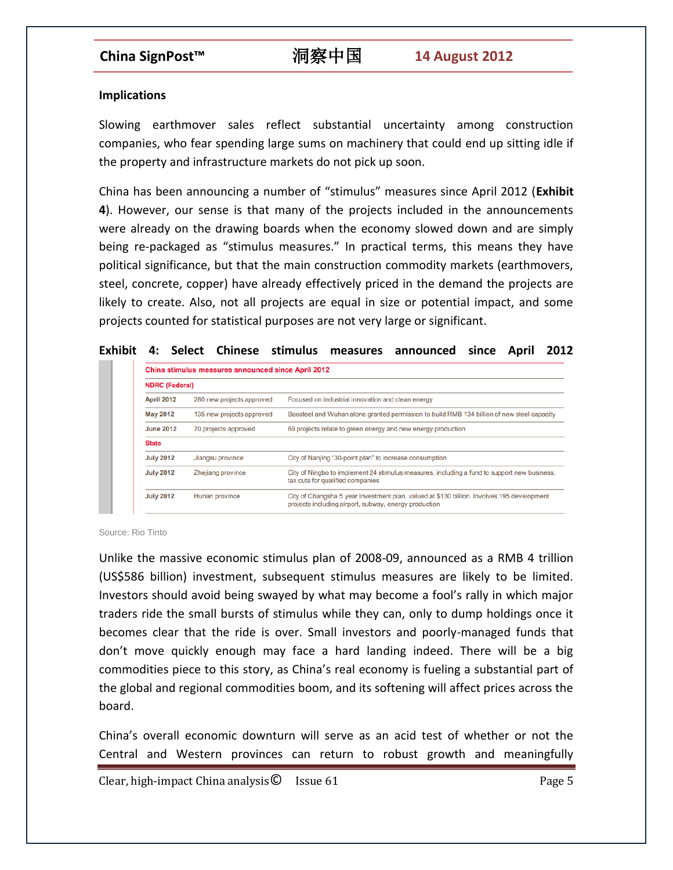### **Implications**

Slowing earthmover sales reflect substantial uncertainty among construction companies, who fear spending large sums on machinery that could end up sitting idle if the property and infrastructure markets do not pick up soon.

China has been announcing a number of "stimulus" measures since April 2012 (**Exhibit 4**). However, our sense is that many of the projects included in the announcements were already on the drawing boards when the economy slowed down and are simply being re-packaged as "stimulus measures." In practical terms, this means they have political significance, but that the main construction commodity markets (earthmovers, steel, concrete, copper) have already effectively priced in the demand the projects are likely to create. Also, not all projects are equal in size or potential impact, and some projects counted for statistical purposes are not very large or significant.

### **Exhibit 4: Select Chinese stimulus measures announced since April 2012**

| <b>NDRC (Federal)</b> |                           |                                                                                                                                                     |
|-----------------------|---------------------------|-----------------------------------------------------------------------------------------------------------------------------------------------------|
| <b>April 2012</b>     | 280 new projects approved | Focused on industrial innovation and clean energy                                                                                                   |
| <b>May 2012</b>       | 135 new projects approved | Baosteel and Wuhan alone granted permission to build RMB 134 billion of new steel capacity                                                          |
| <b>June 2012</b>      | 70 projects approved      | 69 projects relate to green energy and new energy production                                                                                        |
| <b>State</b>          |                           |                                                                                                                                                     |
| <b>July 2012</b>      | Jiangsu province          | City of Nanjing "30-point plan" to increase consumption                                                                                             |
| <b>July 2012</b>      | Zhejiang province         | City of Ningbo to implement 24 stimulus measures, including a fund to support new business,<br>tax cuts for qualified companies                     |
| <b>July 2012</b>      | Hunan province            | City of Changsha 5 year investment plan, valued at \$130 billion. Involves 195 development<br>projects including airport, subway, energy production |

Source: Rio Tinto

Unlike the massive economic stimulus plan of 2008-09, announced as a RMB 4 trillion (US\$586 billion) investment, subsequent stimulus measures are likely to be limited. Investors should avoid being swayed by what may become a fool's rally in which major traders ride the small bursts of stimulus while they can, only to dump holdings once it becomes clear that the ride is over. Small investors and poorly-managed funds that don't move quickly enough may face a hard landing indeed. There will be a big commodities piece to this story, as China's real economy is fueling a substantial part of the global and regional commodities boom, and its softening will affect prices across the board.

China's overall economic downturn will serve as an acid test of whether or not the Central and Western provinces can return to robust growth and meaningfully

Clear, high-impact China analysis  $\bullet$  Issue 61 Page 5 Page 5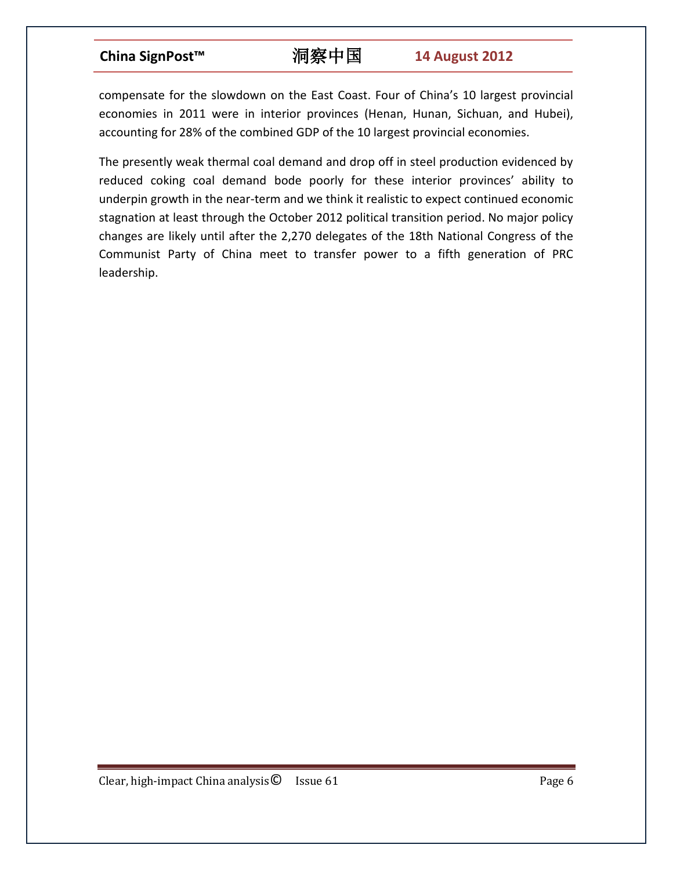# **China SignPost™** 洞察中国 **14 August 2012**

compensate for the slowdown on the East Coast. Four of China's 10 largest provincial economies in 2011 were in interior provinces (Henan, Hunan, Sichuan, and Hubei), accounting for 28% of the combined GDP of the 10 largest provincial economies.

The presently weak thermal coal demand and drop off in steel production evidenced by reduced coking coal demand bode poorly for these interior provinces' ability to underpin growth in the near-term and we think it realistic to expect continued economic stagnation at least through the October 2012 political transition period. No major policy changes are likely until after the 2,270 delegates of the 18th National Congress of the Communist Party of China meet to transfer power to a fifth generation of PRC leadership.